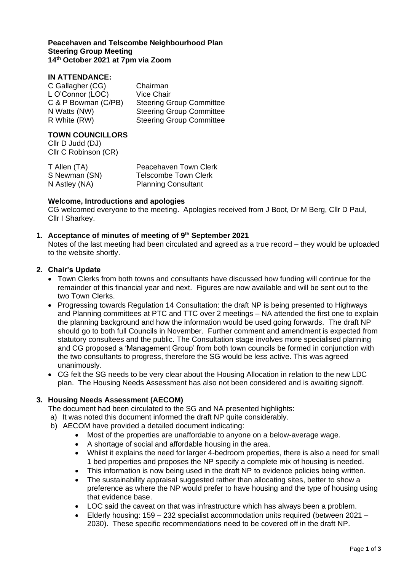#### **Peacehaven and Telscombe Neighbourhood Plan Steering Group Meeting 14th October 2021 at 7pm via Zoom**

## **IN ATTENDANCE:**

| C Gallagher (CG)    | Chairman                        |
|---------------------|---------------------------------|
| L O'Connor (LOC)    | <b>Vice Chair</b>               |
| C & P Bowman (C/PB) | <b>Steering Group Committee</b> |
| N Watts (NW)        | <b>Steering Group Committee</b> |
| R White (RW)        | <b>Steering Group Committee</b> |

## **TOWN COUNCILLORS**

Cllr D Judd (DJ) Cllr C Robinson (CR)

| T Allen (TA)  | Peacehaven Town Clerk       |
|---------------|-----------------------------|
| S Newman (SN) | <b>Telscombe Town Clerk</b> |
| N Astley (NA) | <b>Planning Consultant</b>  |

#### **Welcome, Introductions and apologies**

CG welcomed everyone to the meeting. Apologies received from J Boot, Dr M Berg, Cllr D Paul, Cllr I Sharkey.

#### **1. Acceptance of minutes of meeting of 9 th September 2021**

Notes of the last meeting had been circulated and agreed as a true record – they would be uploaded to the website shortly.

#### **2. Chair's Update**

- Town Clerks from both towns and consultants have discussed how funding will continue for the remainder of this financial year and next. Figures are now available and will be sent out to the two Town Clerks.
- Progressing towards Regulation 14 Consultation: the draft NP is being presented to Highways and Planning committees at PTC and TTC over 2 meetings – NA attended the first one to explain the planning background and how the information would be used going forwards. The draft NP should go to both full Councils in November. Further comment and amendment is expected from statutory consultees and the public. The Consultation stage involves more specialised planning and CG proposed a 'Management Group' from both town councils be formed in conjunction with the two consultants to progress, therefore the SG would be less active. This was agreed unanimously.
- CG felt the SG needs to be very clear about the Housing Allocation in relation to the new LDC plan. The Housing Needs Assessment has also not been considered and is awaiting signoff.

## **3. Housing Needs Assessment (AECOM)**

The document had been circulated to the SG and NA presented highlights:

- a) It was noted this document informed the draft NP quite considerably.
- b) AECOM have provided a detailed document indicating:
	- Most of the properties are unaffordable to anyone on a below-average wage.
	- A shortage of social and affordable housing in the area.
	- Whilst it explains the need for larger 4-bedroom properties, there is also a need for small 1 bed properties and proposes the NP specify a complete mix of housing is needed.
	- This information is now being used in the draft NP to evidence policies being written.
	- The sustainability appraisal suggested rather than allocating sites, better to show a preference as where the NP would prefer to have housing and the type of housing using that evidence base.
	- LOC said the caveat on that was infrastructure which has always been a problem.
	- Elderly housing: 159 232 specialist accommodation units required (between 2021 2030). These specific recommendations need to be covered off in the draft NP.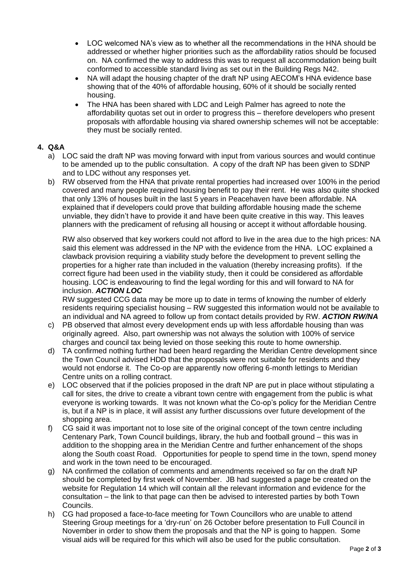- LOC welcomed NA's view as to whether all the recommendations in the HNA should be addressed or whether higher priorities such as the affordability ratios should be focused on. NA confirmed the way to address this was to request all accommodation being built conformed to accessible standard living as set out in the Building Regs N42.
- NA will adapt the housing chapter of the draft NP using AECOM's HNA evidence base showing that of the 40% of affordable housing, 60% of it should be socially rented housing.
- The HNA has been shared with LDC and Leigh Palmer has agreed to note the affordability quotas set out in order to progress this – therefore developers who present proposals with affordable housing via shared ownership schemes will not be acceptable: they must be socially rented.

# **4. Q&A**

- a) LOC said the draft NP was moving forward with input from various sources and would continue to be amended up to the public consultation. A copy of the draft NP has been given to SDNP and to LDC without any responses yet.
- b) RW observed from the HNA that private rental properties had increased over 100% in the period covered and many people required housing benefit to pay their rent. He was also quite shocked that only 13% of houses built in the last 5 years in Peacehaven have been affordable. NA explained that if developers could prove that building affordable housing made the scheme unviable, they didn't have to provide it and have been quite creative in this way. This leaves planners with the predicament of refusing all housing or accept it without affordable housing.

RW also observed that key workers could not afford to live in the area due to the high prices: NA said this element was addressed in the NP with the evidence from the HNA. LOC explained a clawback provision requiring a viability study before the development to prevent selling the properties for a higher rate than included in the valuation (thereby increasing profits). If the correct figure had been used in the viability study, then it could be considered as affordable housing. LOC is endeavouring to find the legal wording for this and will forward to NA for inclusion. *ACTION LOC*

RW suggested CCG data may be more up to date in terms of knowing the number of elderly residents requiring specialist housing – RW suggested this information would not be available to an individual and NA agreed to follow up from contact details provided by RW. *ACTION RW/NA*

- c) PB observed that almost every development ends up with less affordable housing than was originally agreed. Also, part ownership was not always the solution with 100% of service charges and council tax being levied on those seeking this route to home ownership.
- d) TA confirmed nothing further had been heard regarding the Meridian Centre development since the Town Council advised HDD that the proposals were not suitable for residents and they would not endorse it. The Co-op are apparently now offering 6-month lettings to Meridian Centre units on a rolling contract.
- e) LOC observed that if the policies proposed in the draft NP are put in place without stipulating a call for sites, the drive to create a vibrant town centre with engagement from the public is what everyone is working towards. It was not known what the Co-op's policy for the Meridian Centre is, but if a NP is in place, it will assist any further discussions over future development of the shopping area.
- f) CG said it was important not to lose site of the original concept of the town centre including Centenary Park, Town Council buildings, library, the hub and football ground – this was in addition to the shopping area in the Meridian Centre and further enhancement of the shops along the South coast Road. Opportunities for people to spend time in the town, spend money and work in the town need to be encouraged.
- g) NA confirmed the collation of comments and amendments received so far on the draft NP should be completed by first week of November. JB had suggested a page be created on the website for Regulation 14 which will contain all the relevant information and evidence for the consultation – the link to that page can then be advised to interested parties by both Town Councils.
- h) CG had proposed a face-to-face meeting for Town Councillors who are unable to attend Steering Group meetings for a 'dry-run' on 26 October before presentation to Full Council in November in order to show them the proposals and that the NP is going to happen. Some visual aids will be required for this which will also be used for the public consultation.